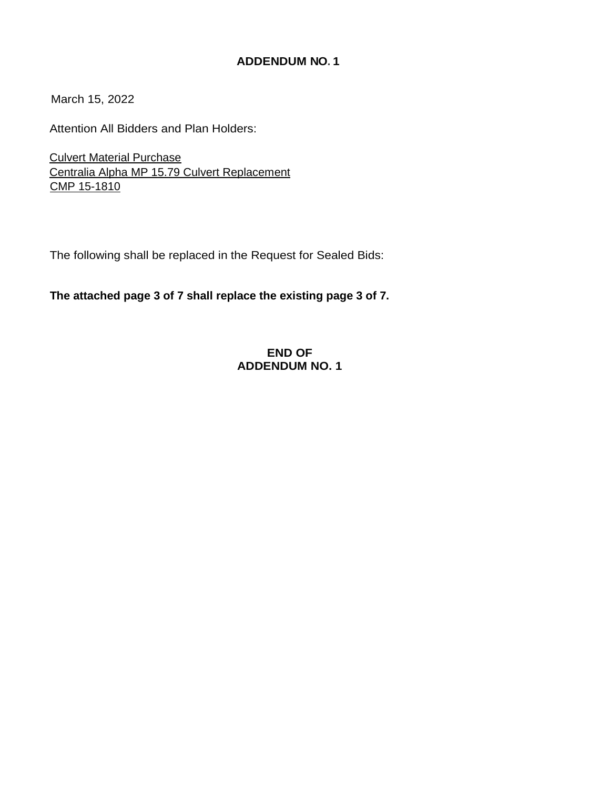# **ADDENDUM NO. 1**

March 15, 2022

Attention All Bidders and Plan Holders:

Culvert Material Purchase Centralia Alpha MP 15.79 Culvert Replacement CMP 15-1810

The following shall be replaced in the Request for Sealed Bids:

**The attached page 3 of 7 shall replace the existing page 3 of 7.**

# **END OF ADDENDUM NO. 1**